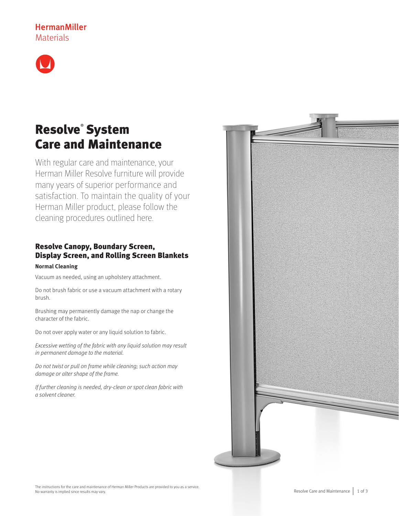# **HermanMiller** Materials



# Resolve® System Care and Maintenance

With regular care and maintenance, your Herman Miller Resolve furniture will provide many years of superior performance and satisfaction. To maintain the quality of your Herman Miller product, please follow the cleaning procedures outlined here.

## Resolve Canopy, Boundary Screen, Display Screen, and Rolling Screen Blankets

## **Normal Cleaning**

Vacuum as needed, using an upholstery attachment.

Do not brush fabric or use a vacuum attachment with a rotary brush.

Brushing may permanently damage the nap or change the character of the fabric.

Do not over apply water or any liquid solution to fabric.

Excessive wetting of the fabric with any liquid solution may result in permanent damage to the material.

Do not twist or pull on frame while cleaning; such action may damage or alter shape of the frame.

If further cleaning is needed, dry-clean or spot clean fabric with a solvent cleaner.

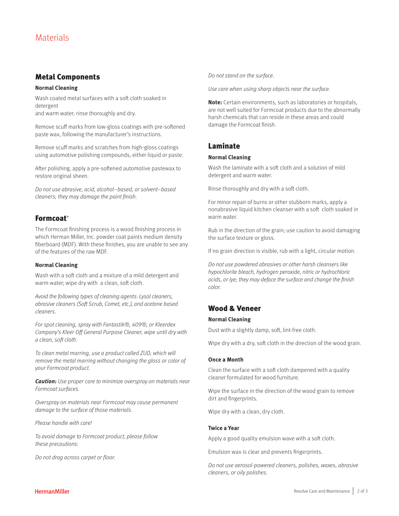## Metal Components

### **Normal Cleaning**

Wash coated metal surfaces with a soft cloth soaked in detergent and warm water; rinse thoroughly and dry.

Remove scuff marks from low-gloss coatings with pre-softened paste wax, following the manufacturer's instructions.

Remove scuff marks and scratches from high-gloss coatings using automotive polishing compounds, either liquid or paste.

After polishing, apply a pre-softened automotive pastewax to restore original sheen.

Do not use abrasive, acid, alcohol–based, or solvent–based cleaners; they may damage the paint finish.

## **Formcoat**<sup>®</sup>

The Formcoat finishing process is a wood finishing process in which Herman Miller, Inc. powder coat paints medium density fiberboard (MDF). With these finishes, you are unable to see any of the features of the raw MDF.

### **Normal Cleaning**

Wash with a soft cloth and a mixture of a mild detergent and warm water; wipe dry with a clean, soft cloth.

Avoid the following types of cleaning agents: Lysol cleaners, abrasive cleaners (Soft Scrub, Comet, etc.), and acetone based cleaners.

For spot cleaning, spray with Fantastik®, 409®, or Kleerdex Company's Kleer Off General Purpose Cleaner, wipe until dry with a clean, soft cloth.

To clean metal marring, use a product called ZUD, which will remove the metal marring without changing the gloss or color of your Formcoat product.

**Caution:** Use proper care to minimize overspray on materials near Formcoat surfaces.

Overspray on materials near Formcoat may cause permanent damage to the surface of those materials.

Please handle with care!

To avoid damage to Formcoat product, please follow these precautions:

Do not drag across carpet or floor.

Do not stand on the surface.

Use care when using sharp objects near the surface.

**Note:** Certain environments, such as laboratories or hospitals, are not well suited for Formcoat products due to the abnormally harsh chemicals that can reside in these areas and could damage the Formcoat finish.

## Laminate

#### **Normal Cleaning**

Wash the laminate with a soft cloth and a solution of mild detergent and warm water.

Rinse thoroughly and dry with a soft cloth.

For minor repair of burns or other stubborn marks, apply a nonabrasive liquid kitchen cleanser with a soft cloth soaked in warm water.

Rub in the direction of the grain; use caution to avoid damaging the surface texture or gloss.

If no grain direction is visible, rub with a light, circular motion.

Do not use powdered abrasives or other harsh cleansers like hypochlorite bleach, hydrogen peroxide, nitric or hydrochloric acids, or lye; they may deface the surface and change the finish color.

## Wood & Veneer

### **Normal Cleaning**

Dust with a slightly damp, soft, lint-free cloth.

Wipe dry with a dry, soft cloth in the direction of the wood grain.

#### **Once a Month**

Clean the surface with a soft cloth dampened with a quality cleaner formulated for wood furniture.

Wipe the surface in the direction of the wood grain to remove dirt and fingerprints.

Wipe dry with a clean, dry cloth.

#### **Twice a Year**

Apply a good quality emulsion wave with a soft cloth.

Emulsion wax is clear and prevents fingerprints.

Do not use aerosol-powered cleaners, polishes, waxes, abrasive cleaners, or oily polishes.